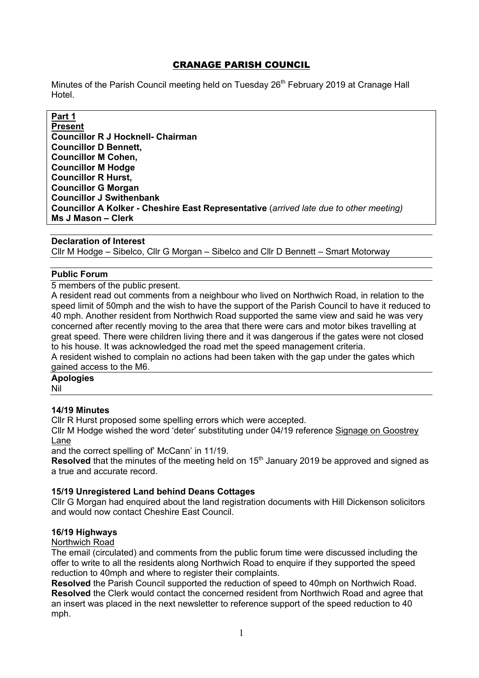# CRANAGE PARISH COUNCIL

Minutes of the Parish Council meeting held on Tuesday 26<sup>th</sup> February 2019 at Cranage Hall Hotel.

# **Part 1**

**Present Councillor R J Hocknell- Chairman Councillor D Bennett, Councillor M Cohen, Councillor M Hodge Councillor R Hurst, Councillor G Morgan Councillor J Swithenbank Councillor A Kolker - Cheshire East Representative** (*arrived late due to other meeting)* **Ms J Mason – Clerk** 

#### **Declaration of Interest**

Cllr M Hodge – Sibelco, Cllr G Morgan – Sibelco and Cllr D Bennett – Smart Motorway

## **Public Forum**

5 members of the public present.

A resident read out comments from a neighbour who lived on Northwich Road, in relation to the speed limit of 50mph and the wish to have the support of the Parish Council to have it reduced to 40 mph. Another resident from Northwich Road supported the same view and said he was very concerned after recently moving to the area that there were cars and motor bikes travelling at great speed. There were children living there and it was dangerous if the gates were not closed to his house. It was acknowledged the road met the speed management criteria.

A resident wished to complain no actions had been taken with the gap under the gates which gained access to the M6.

# **Apologies**

Nil

## **14/19 Minutes**

Cllr R Hurst proposed some spelling errors which were accepted.

Cllr M Hodge wished the word 'deter' substituting under 04/19 reference Signage on Goostrey Lane

and the correct spelling of' McCann' in 11/19.

**Resolved** that the minutes of the meeting held on 15<sup>th</sup> January 2019 be approved and signed as a true and accurate record.

## **15/19 Unregistered Land behind Deans Cottages**

Cllr G Morgan had enquired about the land registration documents with Hill Dickenson solicitors and would now contact Cheshire East Council.

#### **16/19 Highways**

Northwich Road

The email (circulated) and comments from the public forum time were discussed including the offer to write to all the residents along Northwich Road to enquire if they supported the speed reduction to 40mph and where to register their complaints.

**Resolved** the Parish Council supported the reduction of speed to 40mph on Northwich Road. **Resolved** the Clerk would contact the concerned resident from Northwich Road and agree that an insert was placed in the next newsletter to reference support of the speed reduction to 40 mph.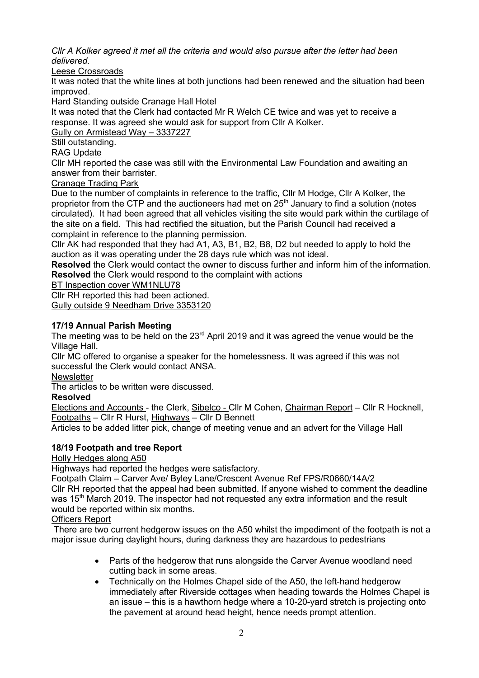*Cllr A Kolker agreed it met all the criteria and would also pursue after the letter had been delivered.*

Leese Crossroads

It was noted that the white lines at both junctions had been renewed and the situation had been improved.

Hard Standing outside Cranage Hall Hotel

It was noted that the Clerk had contacted Mr R Welch CE twice and was yet to receive a response. It was agreed she would ask for support from Cllr A Kolker.

Gully on Armistead Way – 3337227

Still outstanding.

RAG Update

Cllr MH reported the case was still with the Environmental Law Foundation and awaiting an answer from their barrister.

Cranage Trading Park

Due to the number of complaints in reference to the traffic, Cllr M Hodge, Cllr A Kolker, the proprietor from the CTP and the auctioneers had met on 25<sup>th</sup> January to find a solution (notes circulated). It had been agreed that all vehicles visiting the site would park within the curtilage of the site on a field. This had rectified the situation, but the Parish Council had received a complaint in reference to the planning permission.

Cllr AK had responded that they had A1, A3, B1, B2, B8, D2 but needed to apply to hold the auction as it was operating under the 28 days rule which was not ideal.

**Resolved** the Clerk would contact the owner to discuss further and inform him of the information. **Resolved** the Clerk would respond to the complaint with actions

BT Inspection cover WM1NLU78

Cllr RH reported this had been actioned.

Gully outside 9 Needham Drive 3353120

## **17/19 Annual Parish Meeting**

The meeting was to be held on the 23<sup>rd</sup> April 2019 and it was agreed the venue would be the Village Hall.

Cllr MC offered to organise a speaker for the homelessness. It was agreed if this was not successful the Clerk would contact ANSA.

**Newsletter** 

The articles to be written were discussed.

# **Resolved**

Elections and Accounts - the Clerk, Sibelco - Cllr M Cohen, Chairman Report - Cllr R Hocknell, Footpaths – Cllr R Hurst, Highways – Cllr D Bennett

Articles to be added litter pick, change of meeting venue and an advert for the Village Hall

# **18/19 Footpath and tree Report**

Holly Hedges along A50

Highways had reported the hedges were satisfactory.

Footpath Claim – Carver Ave/ Byley Lane/Crescent Avenue Ref FPS/R0660/14A/2

Cllr RH reported that the appeal had been submitted. If anyone wished to comment the deadline was 15<sup>th</sup> March 2019. The inspector had not requested any extra information and the result would be reported within six months.

Officers Report

There are two current hedgerow issues on the A50 whilst the impediment of the footpath is not a major issue during daylight hours, during darkness they are hazardous to pedestrians

- Parts of the hedgerow that runs alongside the Carver Avenue woodland need cutting back in some areas.
- Technically on the Holmes Chapel side of the A50, the left-hand hedgerow immediately after Riverside cottages when heading towards the Holmes Chapel is an issue – this is a hawthorn hedge where a 10-20-yard stretch is projecting onto the pavement at around head height, hence needs prompt attention.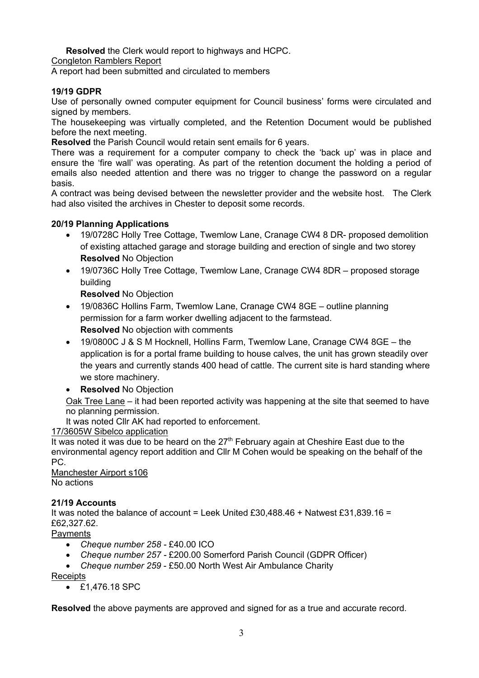**Resolved** the Clerk would report to highways and HCPC.

Congleton Ramblers Report

A report had been submitted and circulated to members

## **19/19 GDPR**

Use of personally owned computer equipment for Council business' forms were circulated and signed by members.

The housekeeping was virtually completed, and the Retention Document would be published before the next meeting.

**Resolved** the Parish Council would retain sent emails for 6 years.

There was a requirement for a computer company to check the 'back up' was in place and ensure the 'fire wall' was operating. As part of the retention document the holding a period of emails also needed attention and there was no trigger to change the password on a regular basis.

A contract was being devised between the newsletter provider and the website host. The Clerk had also visited the archives in Chester to deposit some records.

## **20/19 Planning Applications**

- 19/0728C Holly Tree Cottage, Twemlow Lane, Cranage CW4 8 DR- proposed demolition of existing attached garage and storage building and erection of single and two storey **Resolved** No Objection
- 19/0736C Holly Tree Cottage, Twemlow Lane, Cranage CW4 8DR proposed storage building

**Resolved** No Objection

- 19/0836C Hollins Farm, Twemlow Lane, Cranage CW4 8GE outline planning permission for a farm worker dwelling adjacent to the farmstead. **Resolved** No objection with comments
- 19/0800C J & S M Hocknell, Hollins Farm, Twemlow Lane, Cranage CW4 8GE the application is for a portal frame building to house calves, the unit has grown steadily over the years and currently stands 400 head of cattle. The current site is hard standing where we store machinery.
- **Resolved** No Objection

Oak Tree Lane – it had been reported activity was happening at the site that seemed to have no planning permission.

It was noted Cllr AK had reported to enforcement.

# 17/3605W Sibelco application

It was noted it was due to be heard on the  $27<sup>th</sup>$  February again at Cheshire East due to the environmental agency report addition and Cllr M Cohen would be speaking on the behalf of the PC.

Manchester Airport s106 No actions

## **21/19 Accounts**

It was noted the balance of account = Leek United £30,488.46 + Natwest £31,839.16 = £62,327.62.

**Payments** 

- *Cheque number 258 -* £40.00 ICO
- *Cheque number 257 -* £200.00 Somerford Parish Council (GDPR Officer)
- *Cheque number 259* £50.00 North West Air Ambulance Charity

**Receipts** 

• £1,476.18 SPC

**Resolved** the above payments are approved and signed for as a true and accurate record.